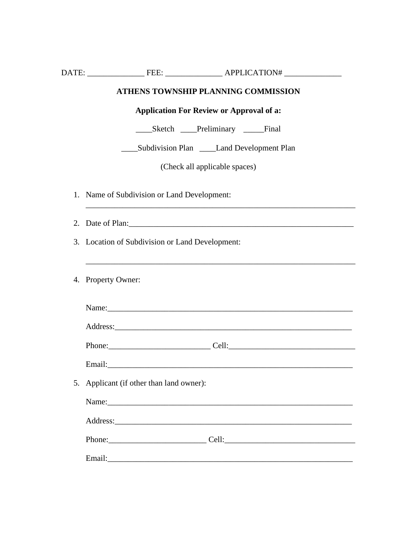|    | <b>ATHENS TOWNSHIP PLANNING COMMISSION</b>           |
|----|------------------------------------------------------|
|    | <b>Application For Review or Approval of a:</b>      |
|    | _______Sketch ______Preliminary _________Final       |
|    | ______Subdivision Plan ________Land Development Plan |
|    | (Check all applicable spaces)                        |
|    | 1. Name of Subdivision or Land Development:          |
| 2. | Date of Plan: 1988                                   |
|    | 3. Location of Subdivision or Land Development:      |
|    | 4. Property Owner:                                   |
|    |                                                      |
|    |                                                      |
|    |                                                      |
|    | 5. Applicant (if other than land owner):             |
|    |                                                      |
|    |                                                      |
|    |                                                      |
|    |                                                      |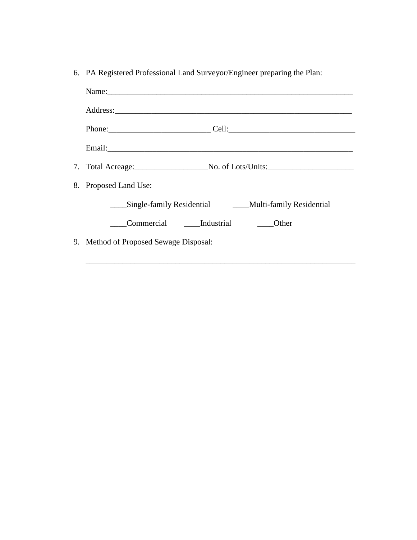|  |  |  |  |  | 6. PA Registered Professional Land Surveyor/Engineer preparing the Plan: |  |
|--|--|--|--|--|--------------------------------------------------------------------------|--|
|--|--|--|--|--|--------------------------------------------------------------------------|--|

| Name:                                                                                                                                                                                                                          |
|--------------------------------------------------------------------------------------------------------------------------------------------------------------------------------------------------------------------------------|
| Address: 2008 Communication of the Address of The Address of The Address of The Address of The Address of The Address of The Address of The Address of The Address of The Address of The Address of The Address of The Address |
| Phone: ___________________________________Cell: _________________________________                                                                                                                                              |
|                                                                                                                                                                                                                                |
| 7. Total Acreage: No. of Lots/Units:                                                                                                                                                                                           |
| 8. Proposed Land Use:                                                                                                                                                                                                          |
| Single-family Residential __________Multi-family Residential                                                                                                                                                                   |
| Commercial Industrial<br><b>Solution</b> Other                                                                                                                                                                                 |
| 9. Method of Proposed Sewage Disposal:                                                                                                                                                                                         |

\_\_\_\_\_\_\_\_\_\_\_\_\_\_\_\_\_\_\_\_\_\_\_\_\_\_\_\_\_\_\_\_\_\_\_\_\_\_\_\_\_\_\_\_\_\_\_\_\_\_\_\_\_\_\_\_\_\_\_\_\_\_\_\_\_\_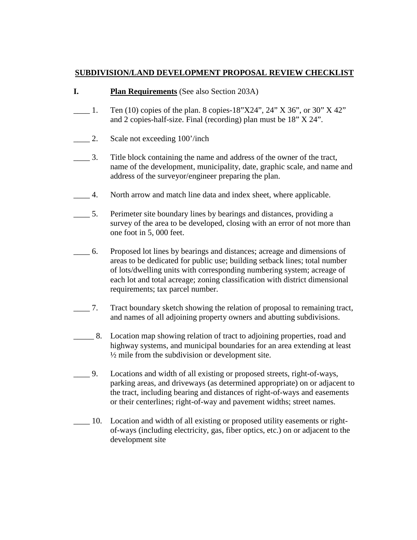# **SUBDIVISION/LAND DEVELOPMENT PROPOSAL REVIEW CHECKLIST**

### **I. Plan Requirements** (See also Section 203A)

- $\frac{1}{2}$  1. Ten (10) copies of the plan. 8 copies-18"X24", 24" X 36", or 30" X 42" and 2 copies-half-size. Final (recording) plan must be 18" X 24".
- \_\_\_\_ 2. Scale not exceeding 100'/inch
- \_\_\_\_ 3. Title block containing the name and address of the owner of the tract, name of the development, municipality, date, graphic scale, and name and address of the surveyor/engineer preparing the plan.
- \_\_\_\_ 4. North arrow and match line data and index sheet, where applicable.
- \_\_\_\_ 5. Perimeter site boundary lines by bearings and distances, providing a survey of the area to be developed, closing with an error of not more than one foot in 5, 000 feet.
- \_\_\_\_ 6. Proposed lot lines by bearings and distances; acreage and dimensions of areas to be dedicated for public use; building setback lines; total number of lots/dwelling units with corresponding numbering system; acreage of each lot and total acreage; zoning classification with district dimensional requirements; tax parcel number.
- \_\_\_\_ 7. Tract boundary sketch showing the relation of proposal to remaining tract, and names of all adjoining property owners and abutting subdivisions.
- \_\_\_\_\_ 8. Location map showing relation of tract to adjoining properties, road and highway systems, and municipal boundaries for an area extending at least  $\frac{1}{2}$  mile from the subdivision or development site.
- \_\_\_\_ 9. Locations and width of all existing or proposed streets, right-of-ways, parking areas, and driveways (as determined appropriate) on or adjacent to the tract, including bearing and distances of right-of-ways and easements or their centerlines; right-of-way and pavement widths; street names.
- \_\_\_\_ 10. Location and width of all existing or proposed utility easements or right of-ways (including electricity, gas, fiber optics, etc.) on or adjacent to the development site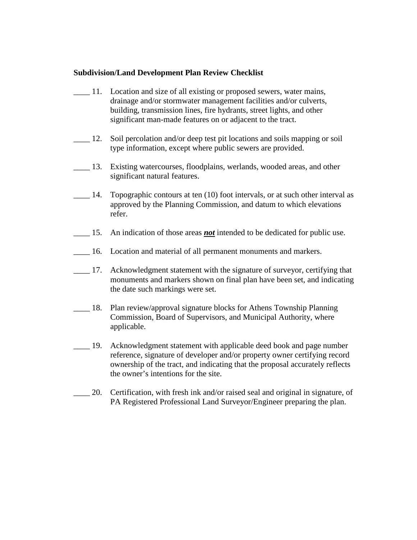- 11. Location and size of all existing or proposed sewers, water mains, drainage and/or stormwater management facilities and/or culverts, building, transmission lines, fire hydrants, street lights, and other significant man-made features on or adjacent to the tract.
- \_\_\_\_ 12. Soil percolation and/or deep test pit locations and soils mapping or soil type information, except where public sewers are provided.
- \_\_\_\_ 13. Existing watercourses, floodplains, werlands, wooded areas, and other significant natural features.
- 14. Topographic contours at ten (10) foot intervals, or at such other interval as approved by the Planning Commission, and datum to which elevations refer.
- \_\_\_\_ 15. An indication of those areas *not* intended to be dedicated for public use.
- 16. Location and material of all permanent monuments and markers.
- 17. Acknowledgment statement with the signature of surveyor, certifying that monuments and markers shown on final plan have been set, and indicating the date such markings were set.
- \_\_\_\_ 18. Plan review/approval signature blocks for Athens Township Planning Commission, Board of Supervisors, and Municipal Authority, where applicable.
- 19. Acknowledgment statement with applicable deed book and page number reference, signature of developer and/or property owner certifying record ownership of the tract, and indicating that the proposal accurately reflects the owner's intentions for the site.
- \_\_\_\_ 20. Certification, with fresh ink and/or raised seal and original in signature, of PA Registered Professional Land Surveyor/Engineer preparing the plan.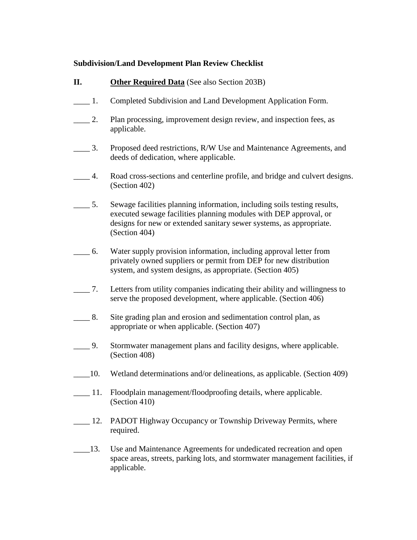- **II. Other Required Data** (See also Section 203B)
- \_\_\_\_ 1. Completed Subdivision and Land Development Application Form.
- 2. Plan processing, improvement design review, and inspection fees, as applicable.
- \_\_\_\_ 3. Proposed deed restrictions, R/W Use and Maintenance Agreements, and deeds of dedication, where applicable.
- \_\_\_\_ 4. Road cross-sections and centerline profile, and bridge and culvert designs. (Section 402)
- \_\_\_\_ 5. Sewage facilities planning information, including soils testing results, executed sewage facilities planning modules with DEP approval, or designs for new or extended sanitary sewer systems, as appropriate. (Section 404)
- \_\_\_\_ 6. Water supply provision information, including approval letter from privately owned suppliers or permit from DEP for new distribution system, and system designs, as appropriate. (Section 405)
- \_\_\_\_ 7. Letters from utility companies indicating their ability and willingness to serve the proposed development, where applicable. (Section 406)
- \_\_\_\_ 8. Site grading plan and erosion and sedimentation control plan, as appropriate or when applicable. (Section 407)
- 1. Stormwater management plans and facility designs, where applicable. (Section 408)
- \_\_\_\_10. Wetland determinations and/or delineations, as applicable. (Section 409)
- **11.** Floodplain management/floodproofing details, where applicable. (Section 410)
- 12. PADOT Highway Occupancy or Township Driveway Permits, where required.
- \_\_\_\_13. Use and Maintenance Agreements for undedicated recreation and open space areas, streets, parking lots, and stormwater management facilities, if applicable.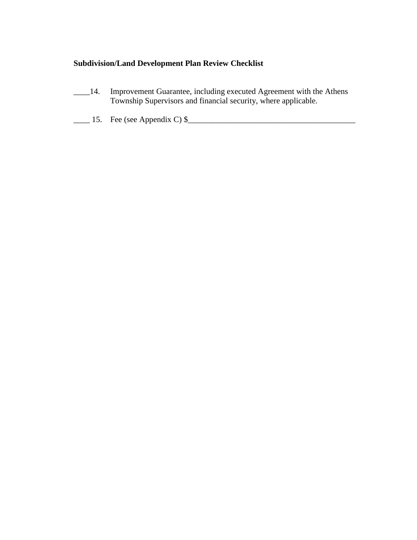- \_\_\_\_14. Improvement Guarantee, including executed Agreement with the Athens Township Supervisors and financial security, where applicable.
- $\frac{15}{2}$  15. Fee (see Appendix C) \$ $\frac{1}{2}$